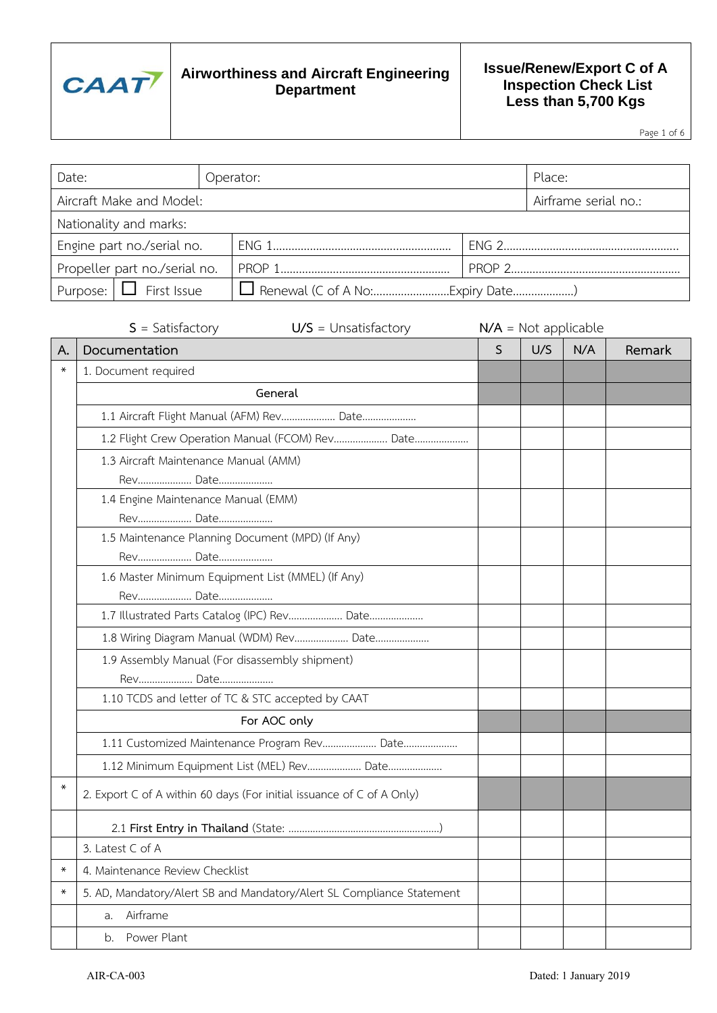

#### **Issue/Renew/Export C of A Inspection Check List Less than 5,700 Kgs**

Page 1 of 6

| Date:                         | Operator:            | Place: |  |  |
|-------------------------------|----------------------|--------|--|--|
| Aircraft Make and Model:      | Airframe serial no.: |        |  |  |
| Nationality and marks:        |                      |        |  |  |
| Engine part no./serial no.    |                      |        |  |  |
| Propeller part no./serial no. |                      |        |  |  |
| Purpose: $\Box$ First Issue   |                      |        |  |  |

|        | $S = Satisfactory$<br>$U/S =$ Unsatisfactory                          |   | $N/A$ = Not applicable |     |        |
|--------|-----------------------------------------------------------------------|---|------------------------|-----|--------|
| Α.     | Documentation                                                         | S | U/S                    | N/A | Remark |
| ∗      | 1. Document required                                                  |   |                        |     |        |
|        | General                                                               |   |                        |     |        |
|        | 1.1 Aircraft Flight Manual (AFM) Rev Date                             |   |                        |     |        |
|        | 1.2 Flight Crew Operation Manual (FCOM) Rev Date                      |   |                        |     |        |
|        | 1.3 Aircraft Maintenance Manual (AMM)                                 |   |                        |     |        |
|        | Rev Date                                                              |   |                        |     |        |
|        | 1.4 Engine Maintenance Manual (EMM)                                   |   |                        |     |        |
|        | Rev Date                                                              |   |                        |     |        |
|        | 1.5 Maintenance Planning Document (MPD) (If Any)                      |   |                        |     |        |
|        | Rev Date                                                              |   |                        |     |        |
|        | 1.6 Master Minimum Equipment List (MMEL) (If Any)                     |   |                        |     |        |
|        | Rev Date                                                              |   |                        |     |        |
|        | 1.7 Illustrated Parts Catalog (IPC) Rev Date                          |   |                        |     |        |
|        | 1.8 Wiring Diagram Manual (WDM) Rev Date                              |   |                        |     |        |
|        | 1.9 Assembly Manual (For disassembly shipment)                        |   |                        |     |        |
|        | Rev Date                                                              |   |                        |     |        |
|        | 1.10 TCDS and letter of TC & STC accepted by CAAT                     |   |                        |     |        |
|        | For AOC only                                                          |   |                        |     |        |
|        | 1.11 Customized Maintenance Program Rev Date                          |   |                        |     |        |
|        | 1.12 Minimum Equipment List (MEL) Rev Date                            |   |                        |     |        |
| $\ast$ | 2. Export C of A within 60 days (For initial issuance of C of A Only) |   |                        |     |        |
|        |                                                                       |   |                        |     |        |
|        | 3. Latest C of A                                                      |   |                        |     |        |
| ∗      | 4. Maintenance Review Checklist                                       |   |                        |     |        |
| $\ast$ | 5. AD, Mandatory/Alert SB and Mandatory/Alert SL Compliance Statement |   |                        |     |        |
|        | Airframe<br>a.                                                        |   |                        |     |        |
|        | Power Plant<br>b.                                                     |   |                        |     |        |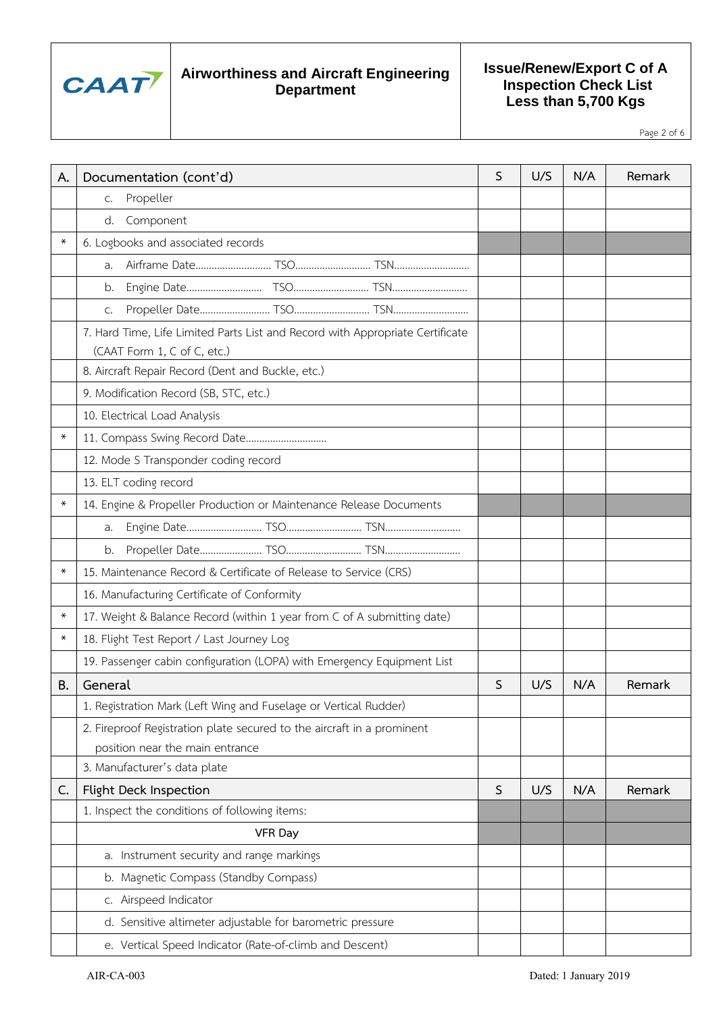

**Issue/Renew/Export C of A Inspection Check List Less than 5,700 Kgs**

Page 2 of 6

| А.     | Documentation (cont'd)                                                                                       | S            | U/S | N/A | Remark |
|--------|--------------------------------------------------------------------------------------------------------------|--------------|-----|-----|--------|
|        | Propeller<br>C.                                                                                              |              |     |     |        |
|        | d. Component                                                                                                 |              |     |     |        |
| ∗      | 6. Logbooks and associated records                                                                           |              |     |     |        |
|        | a.                                                                                                           |              |     |     |        |
|        | b.                                                                                                           |              |     |     |        |
|        | C.                                                                                                           |              |     |     |        |
|        | 7. Hard Time, Life Limited Parts List and Record with Appropriate Certificate<br>(CAAT Form 1, C of C, etc.) |              |     |     |        |
|        | 8. Aircraft Repair Record (Dent and Buckle, etc.)                                                            |              |     |     |        |
|        | 9. Modification Record (SB, STC, etc.)                                                                       |              |     |     |        |
|        | 10. Electrical Load Analysis                                                                                 |              |     |     |        |
| ∗      | 11. Compass Swing Record Date                                                                                |              |     |     |        |
|        | 12. Mode S Transponder coding record                                                                         |              |     |     |        |
|        | 13. ELT coding record                                                                                        |              |     |     |        |
| ∗      | 14. Engine & Propeller Production or Maintenance Release Documents                                           |              |     |     |        |
|        | a.                                                                                                           |              |     |     |        |
|        | b.                                                                                                           |              |     |     |        |
| ∗      | 15. Maintenance Record & Certificate of Release to Service (CRS)                                             |              |     |     |        |
|        | 16. Manufacturing Certificate of Conformity                                                                  |              |     |     |        |
| ∗      | 17. Weight & Balance Record (within 1 year from C of A submitting date)                                      |              |     |     |        |
| $\ast$ | 18. Flight Test Report / Last Journey Log                                                                    |              |     |     |        |
|        | 19. Passenger cabin configuration (LOPA) with Emergency Equipment List                                       |              |     |     |        |
| В.     | General                                                                                                      | S            | U/S | N/A | Remark |
|        | 1. Registration Mark (Left Wing and Fuselage or Vertical Rudder)                                             |              |     |     |        |
|        | 2. Fireproof Registration plate secured to the aircraft in a prominent<br>position near the main entrance    |              |     |     |        |
|        | 3. Manufacturer's data plate                                                                                 |              |     |     |        |
| C.     | Flight Deck Inspection                                                                                       | $\mathsf{S}$ | U/S | N/A | Remark |
|        | 1. Inspect the conditions of following items:                                                                |              |     |     |        |
|        | <b>VFR Day</b>                                                                                               |              |     |     |        |
|        | a. Instrument security and range markings                                                                    |              |     |     |        |
|        | b. Magnetic Compass (Standby Compass)                                                                        |              |     |     |        |
|        | c. Airspeed Indicator                                                                                        |              |     |     |        |
|        | d. Sensitive altimeter adjustable for barometric pressure                                                    |              |     |     |        |
|        | e. Vertical Speed Indicator (Rate-of-climb and Descent)                                                      |              |     |     |        |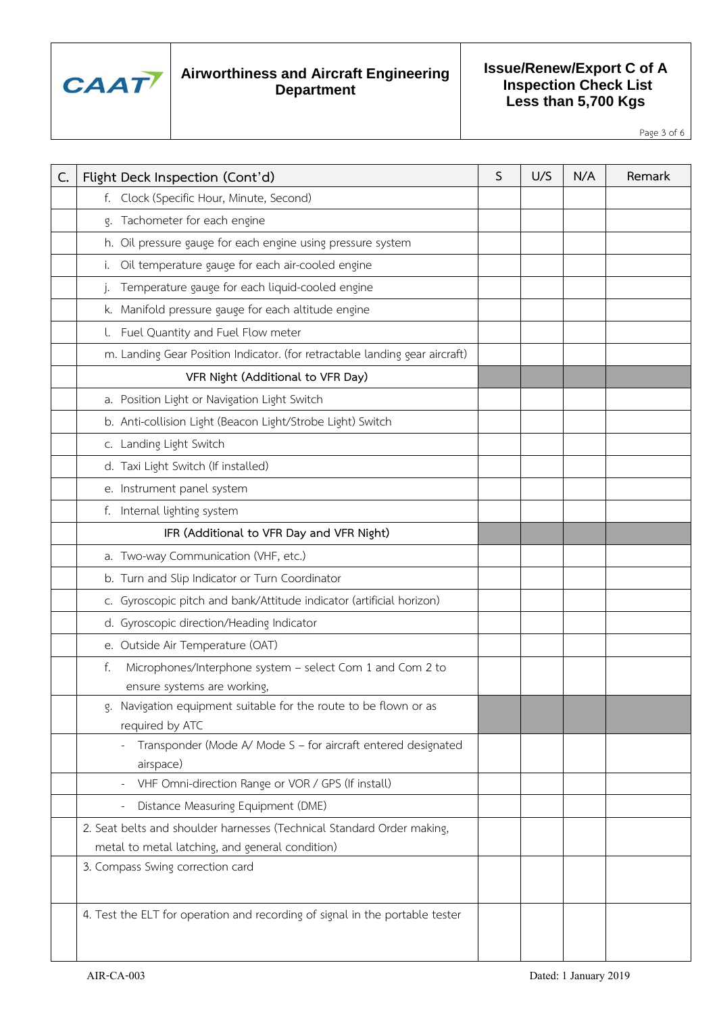

**Issue/Renew/Export C of A Inspection Check List Less than 5,700 Kgs**

Page 3 of 6

| C. | Flight Deck Inspection (Cont'd)                                                                | S | U/S | N/A | Remark |
|----|------------------------------------------------------------------------------------------------|---|-----|-----|--------|
|    | f. Clock (Specific Hour, Minute, Second)                                                       |   |     |     |        |
|    | g. Tachometer for each engine                                                                  |   |     |     |        |
|    | h. Oil pressure gauge for each engine using pressure system                                    |   |     |     |        |
|    | Oil temperature gauge for each air-cooled engine<br>i.                                         |   |     |     |        |
|    | Temperature gauge for each liquid-cooled engine<br>j.                                          |   |     |     |        |
|    | k. Manifold pressure gauge for each altitude engine                                            |   |     |     |        |
|    | l. Fuel Quantity and Fuel Flow meter                                                           |   |     |     |        |
|    | m. Landing Gear Position Indicator. (for retractable landing gear aircraft)                    |   |     |     |        |
|    | VFR Night (Additional to VFR Day)                                                              |   |     |     |        |
|    | a. Position Light or Navigation Light Switch                                                   |   |     |     |        |
|    | b. Anti-collision Light (Beacon Light/Strobe Light) Switch                                     |   |     |     |        |
|    | c. Landing Light Switch                                                                        |   |     |     |        |
|    | d. Taxi Light Switch (If installed)                                                            |   |     |     |        |
|    | e. Instrument panel system                                                                     |   |     |     |        |
|    | f. Internal lighting system                                                                    |   |     |     |        |
|    | IFR (Additional to VFR Day and VFR Night)                                                      |   |     |     |        |
|    | a. Two-way Communication (VHF, etc.)                                                           |   |     |     |        |
|    | b. Turn and Slip Indicator or Turn Coordinator                                                 |   |     |     |        |
|    | c. Gyroscopic pitch and bank/Attitude indicator (artificial horizon)                           |   |     |     |        |
|    | d. Gyroscopic direction/Heading Indicator                                                      |   |     |     |        |
|    | e. Outside Air Temperature (OAT)                                                               |   |     |     |        |
|    | Microphones/Interphone system - select Com 1 and Com 2 to<br>f.<br>ensure systems are working, |   |     |     |        |
|    | Navigation equipment suitable for the route to be flown or as<br>required by ATC               |   |     |     |        |
|    | Transponder (Mode A/ Mode S - for aircraft entered designated<br>airspace)                     |   |     |     |        |
|    | VHF Omni-direction Range or VOR / GPS (If install)                                             |   |     |     |        |
|    | Distance Measuring Equipment (DME)                                                             |   |     |     |        |
|    | 2. Seat belts and shoulder harnesses (Technical Standard Order making,                         |   |     |     |        |
|    | metal to metal latching, and general condition)                                                |   |     |     |        |
|    | 3. Compass Swing correction card                                                               |   |     |     |        |
|    | 4. Test the ELT for operation and recording of signal in the portable tester                   |   |     |     |        |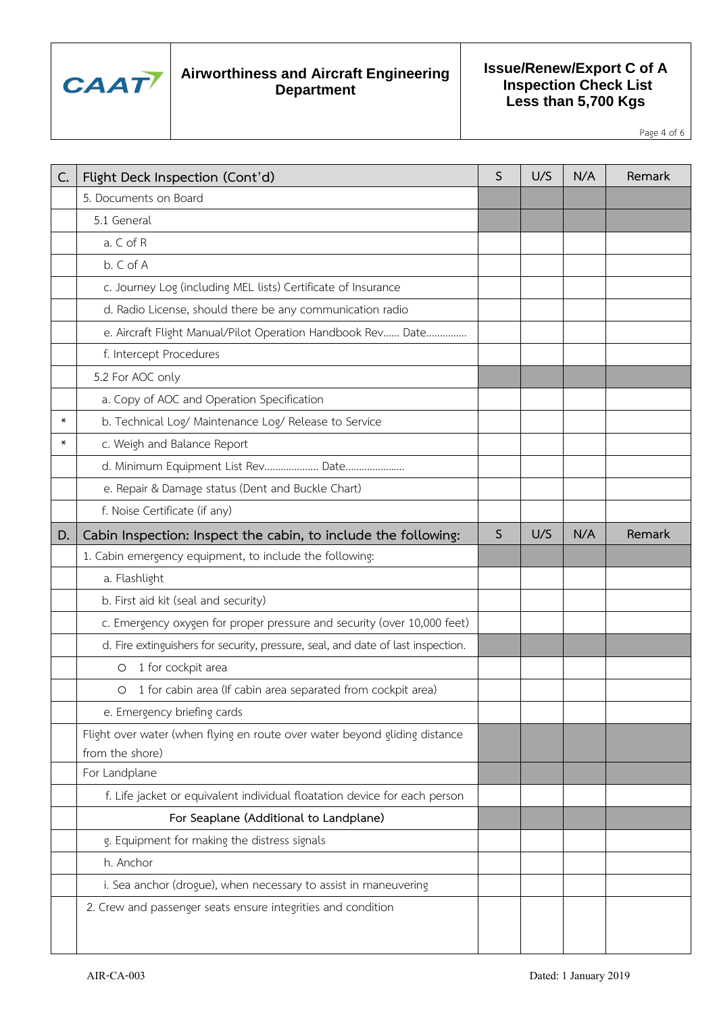

**Issue/Renew/Export C of A Inspection Check List Less than 5,700 Kgs**

Page 4 of 6

| Flight Deck Inspection (Cont'd)                                                  | S                                                                                          | U/S | N/A | Remark                                       |
|----------------------------------------------------------------------------------|--------------------------------------------------------------------------------------------|-----|-----|----------------------------------------------|
| 5. Documents on Board                                                            |                                                                                            |     |     |                                              |
| 5.1 General                                                                      |                                                                                            |     |     |                                              |
| a. C of R                                                                        |                                                                                            |     |     |                                              |
| b. C of A                                                                        |                                                                                            |     |     |                                              |
| c. Journey Log (including MEL lists) Certificate of Insurance                    |                                                                                            |     |     |                                              |
| d. Radio License, should there be any communication radio                        |                                                                                            |     |     |                                              |
| e. Aircraft Flight Manual/Pilot Operation Handbook Rev Date                      |                                                                                            |     |     |                                              |
| f. Intercept Procedures                                                          |                                                                                            |     |     |                                              |
| 5.2 For AOC only                                                                 |                                                                                            |     |     |                                              |
| a. Copy of AOC and Operation Specification                                       |                                                                                            |     |     |                                              |
| b. Technical Log/ Maintenance Log/ Release to Service                            |                                                                                            |     |     |                                              |
| c. Weigh and Balance Report                                                      |                                                                                            |     |     |                                              |
| d. Minimum Equipment List Rev Date                                               |                                                                                            |     |     |                                              |
| e. Repair & Damage status (Dent and Buckle Chart)                                |                                                                                            |     |     |                                              |
| f. Noise Certificate (if any)                                                    |                                                                                            |     |     |                                              |
| Cabin Inspection: Inspect the cabin, to include the following:                   | $\mathsf{S}$                                                                               | U/S | N/A | Remark                                       |
| 1. Cabin emergency equipment, to include the following:                          |                                                                                            |     |     |                                              |
| a. Flashlight                                                                    |                                                                                            |     |     |                                              |
| b. First aid kit (seal and security)                                             |                                                                                            |     |     |                                              |
| c. Emergency oxygen for proper pressure and security (over 10,000 feet)          |                                                                                            |     |     |                                              |
| d. Fire extinguishers for security, pressure, seal, and date of last inspection. |                                                                                            |     |     |                                              |
| 1 for cockpit area<br>O                                                          |                                                                                            |     |     |                                              |
| 1 for cabin area (If cabin area separated from cockpit area)<br>$\circ$          |                                                                                            |     |     |                                              |
| e. Emergency briefing cards                                                      |                                                                                            |     |     |                                              |
| Flight over water (when flying en route over water beyond gliding distance       |                                                                                            |     |     |                                              |
| from the shore)                                                                  |                                                                                            |     |     |                                              |
|                                                                                  |                                                                                            |     |     |                                              |
|                                                                                  |                                                                                            |     |     |                                              |
| For Seaplane (Additional to Landplane)                                           |                                                                                            |     |     |                                              |
|                                                                                  |                                                                                            |     |     |                                              |
|                                                                                  |                                                                                            |     |     |                                              |
| h. Anchor                                                                        |                                                                                            |     |     |                                              |
| i. Sea anchor (drogue), when necessary to assist in maneuvering                  |                                                                                            |     |     |                                              |
| 2. Crew and passenger seats ensure integrities and condition                     |                                                                                            |     |     |                                              |
|                                                                                  | For Landplane<br>f. Life jacket or equivalent individual floatation device for each person |     |     | g. Equipment for making the distress signals |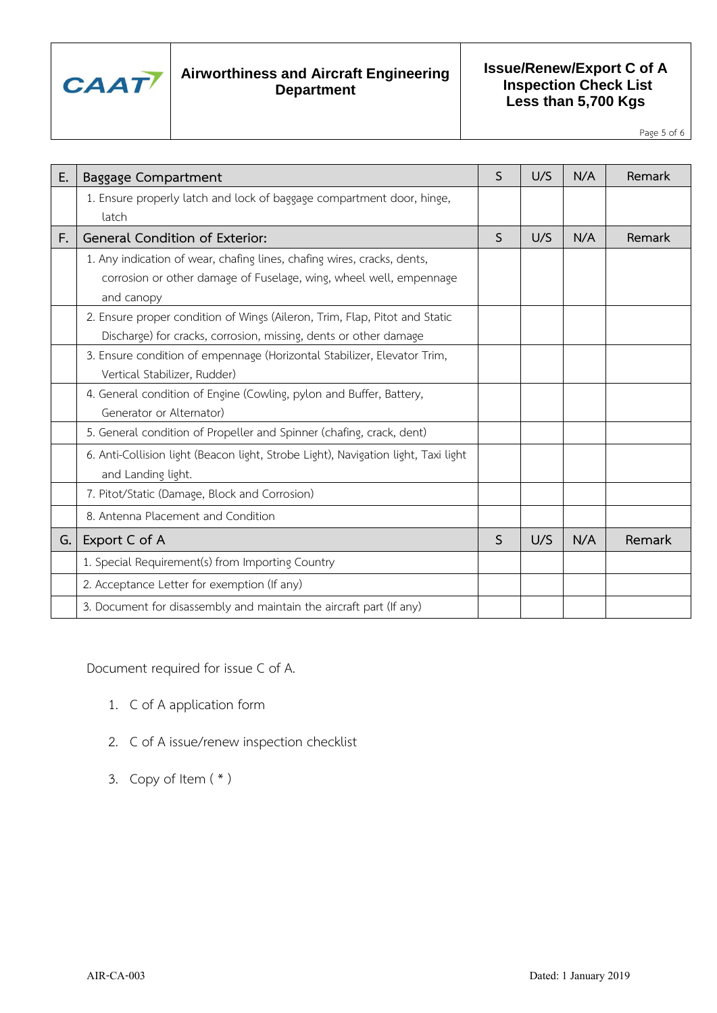

### **Issue/Renew/Export C of A Inspection Check List Less than 5,700 Kgs**

Page 5 of 6

| Ε. | <b>Baggage Compartment</b>                                                         | S | U/S | N/A | Remark |
|----|------------------------------------------------------------------------------------|---|-----|-----|--------|
|    | 1. Ensure properly latch and lock of baggage compartment door, hinge,              |   |     |     |        |
|    | latch                                                                              |   |     |     |        |
| F. | General Condition of Exterior:                                                     | S | U/S | N/A | Remark |
|    | 1. Any indication of wear, chafing lines, chafing wires, cracks, dents,            |   |     |     |        |
|    | corrosion or other damage of Fuselage, wing, wheel well, empennage                 |   |     |     |        |
|    | and canopy                                                                         |   |     |     |        |
|    | 2. Ensure proper condition of Wings (Aileron, Trim, Flap, Pitot and Static         |   |     |     |        |
|    | Discharge) for cracks, corrosion, missing, dents or other damage                   |   |     |     |        |
|    | 3. Ensure condition of empennage (Horizontal Stabilizer, Elevator Trim,            |   |     |     |        |
|    | Vertical Stabilizer, Rudder)                                                       |   |     |     |        |
|    | 4. General condition of Engine (Cowling, pylon and Buffer, Battery,                |   |     |     |        |
|    | Generator or Alternator)                                                           |   |     |     |        |
|    | 5. General condition of Propeller and Spinner (chafing, crack, dent)               |   |     |     |        |
|    | 6. Anti-Collision light (Beacon light, Strobe Light), Navigation light, Taxi light |   |     |     |        |
|    | and Landing light.                                                                 |   |     |     |        |
|    | 7. Pitot/Static (Damage, Block and Corrosion)                                      |   |     |     |        |
|    | 8. Antenna Placement and Condition                                                 |   |     |     |        |
| G. | Export C of A                                                                      | S | U/S | N/A | Remark |
|    | 1. Special Requirement(s) from Importing Country                                   |   |     |     |        |
|    | 2. Acceptance Letter for exemption (If any)                                        |   |     |     |        |
|    | 3. Document for disassembly and maintain the aircraft part (If any)                |   |     |     |        |

Document required for issue C of A.

- 1. C of A application form
- 2. C of A issue/renew inspection checklist
- 3. Copy of Item  $(* )$